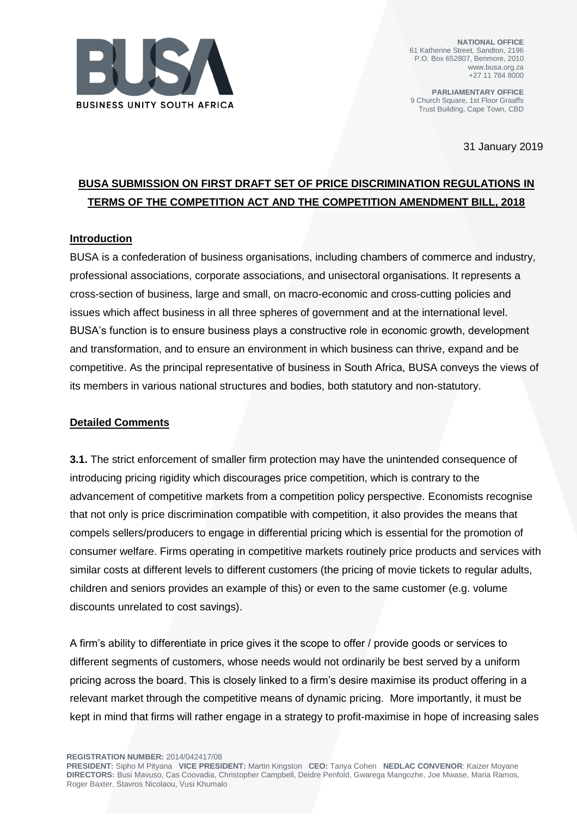

**NATIONAL OFFICE** 61 Katherine Street, Sandton, 2196 P.O. Box 652807, Benmore, 2010 www.busa.org.za +27 11 784 8000

**PARLIAMENTARY OFFICE** 9 Church Square, 1st Floor Graaffs Trust Building, Cape Town, CBD

31 January 2019

## **BUSA SUBMISSION ON FIRST DRAFT SET OF PRICE DISCRIMINATION REGULATIONS IN TERMS OF THE COMPETITION ACT AND THE COMPETITION AMENDMENT BILL, 2018**

## **Introduction**

BUSA is a confederation of business organisations, including chambers of commerce and industry, professional associations, corporate associations, and unisectoral organisations. It represents a cross-section of business, large and small, on macro-economic and cross-cutting policies and issues which affect business in all three spheres of government and at the international level. BUSA's function is to ensure business plays a constructive role in economic growth, development and transformation, and to ensure an environment in which business can thrive, expand and be competitive. As the principal representative of business in South Africa, BUSA conveys the views of its members in various national structures and bodies, both statutory and non-statutory.

## **Detailed Comments**

**3.1.** The strict enforcement of smaller firm protection may have the unintended consequence of introducing pricing rigidity which discourages price competition, which is contrary to the advancement of competitive markets from a competition policy perspective. Economists recognise that not only is price discrimination compatible with competition, it also provides the means that compels sellers/producers to engage in differential pricing which is essential for the promotion of consumer welfare. Firms operating in competitive markets routinely price products and services with similar costs at different levels to different customers (the pricing of movie tickets to regular adults, children and seniors provides an example of this) or even to the same customer (e.g. volume discounts unrelated to cost savings).

A firm's ability to differentiate in price gives it the scope to offer / provide goods or services to different segments of customers, whose needs would not ordinarily be best served by a uniform pricing across the board. This is closely linked to a firm's desire maximise its product offering in a relevant market through the competitive means of dynamic pricing. More importantly, it must be kept in mind that firms will rather engage in a strategy to profit-maximise in hope of increasing sales

**REGISTRATION NUMBER:** 2014/042417/08

**PRESIDENT:** Sipho M Pityana **VICE PRESIDENT:** Martin Kingston **CEO:** Tanya Cohen **NEDLAC CONVENOR**: Kaizer Moyane **DIRECTORS:** Busi Mavuso, Cas Coovadia, Christopher Campbell, Deidre Penfold, Gwarega Mangozhe, Joe Mwase, Maria Ramos, Roger Baxter, Stavros Nicolaou, Vusi Khumalo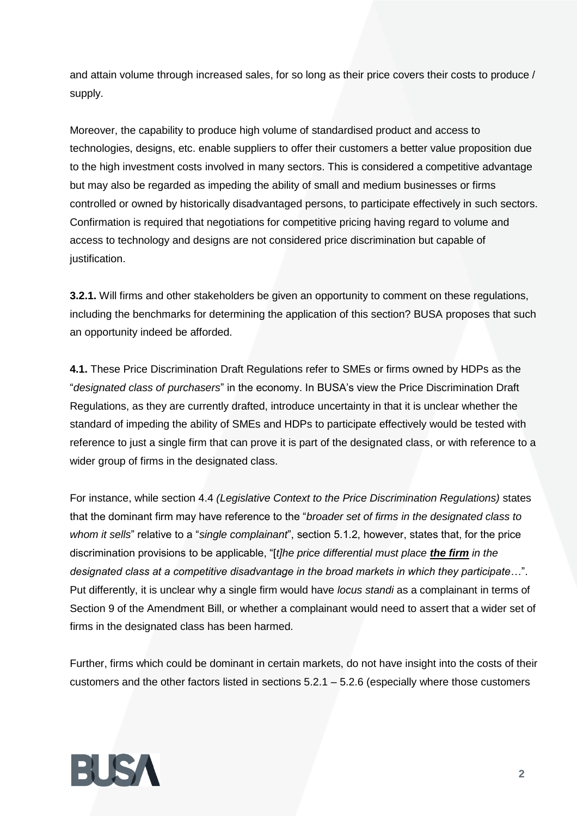and attain volume through increased sales, for so long as their price covers their costs to produce / supply.

Moreover, the capability to produce high volume of standardised product and access to technologies, designs, etc. enable suppliers to offer their customers a better value proposition due to the high investment costs involved in many sectors. This is considered a competitive advantage but may also be regarded as impeding the ability of small and medium businesses or firms controlled or owned by historically disadvantaged persons, to participate effectively in such sectors. Confirmation is required that negotiations for competitive pricing having regard to volume and access to technology and designs are not considered price discrimination but capable of justification.

**3.2.1.** Will firms and other stakeholders be given an opportunity to comment on these regulations, including the benchmarks for determining the application of this section? BUSA proposes that such an opportunity indeed be afforded.

**4.1.** These Price Discrimination Draft Regulations refer to SMEs or firms owned by HDPs as the "*designated class of purchasers*" in the economy. In BUSA's view the Price Discrimination Draft Regulations, as they are currently drafted, introduce uncertainty in that it is unclear whether the standard of impeding the ability of SMEs and HDPs to participate effectively would be tested with reference to just a single firm that can prove it is part of the designated class, or with reference to a wider group of firms in the designated class.

For instance, while section 4.4 *(Legislative Context to the Price Discrimination Regulations)* states that the dominant firm may have reference to the "*broader set of firms in the designated class to whom it sells*" relative to a "*single complainant*", section 5.1.2, however, states that, for the price discrimination provisions to be applicable, "[*t]he price differential must place the firm in the designated class at a competitive disadvantage in the broad markets in which they participate…*". Put differently, it is unclear why a single firm would have *locus standi* as a complainant in terms of Section 9 of the Amendment Bill, or whether a complainant would need to assert that a wider set of firms in the designated class has been harmed.

Further, firms which could be dominant in certain markets, do not have insight into the costs of their customers and the other factors listed in sections 5.2.1 – 5.2.6 (especially where those customers

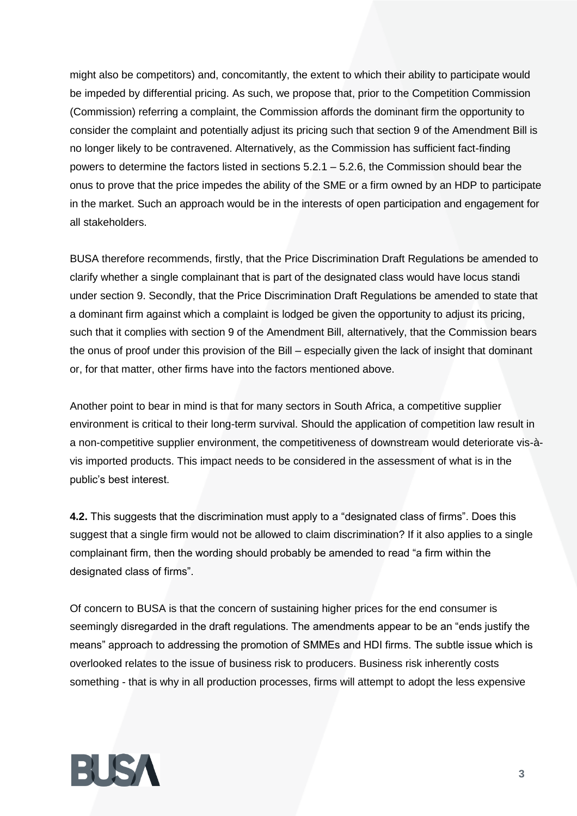might also be competitors) and, concomitantly, the extent to which their ability to participate would be impeded by differential pricing. As such, we propose that, prior to the Competition Commission (Commission) referring a complaint, the Commission affords the dominant firm the opportunity to consider the complaint and potentially adjust its pricing such that section 9 of the Amendment Bill is no longer likely to be contravened. Alternatively, as the Commission has sufficient fact-finding powers to determine the factors listed in sections 5.2.1 – 5.2.6, the Commission should bear the onus to prove that the price impedes the ability of the SME or a firm owned by an HDP to participate in the market. Such an approach would be in the interests of open participation and engagement for all stakeholders.

BUSA therefore recommends, firstly, that the Price Discrimination Draft Regulations be amended to clarify whether a single complainant that is part of the designated class would have locus standi under section 9. Secondly, that the Price Discrimination Draft Regulations be amended to state that a dominant firm against which a complaint is lodged be given the opportunity to adjust its pricing, such that it complies with section 9 of the Amendment Bill, alternatively, that the Commission bears the onus of proof under this provision of the Bill – especially given the lack of insight that dominant or, for that matter, other firms have into the factors mentioned above.

Another point to bear in mind is that for many sectors in South Africa, a competitive supplier environment is critical to their long-term survival. Should the application of competition law result in a non-competitive supplier environment, the competitiveness of downstream would deteriorate vis-àvis imported products. This impact needs to be considered in the assessment of what is in the public's best interest.

**4.2.** This suggests that the discrimination must apply to a "designated class of firms". Does this suggest that a single firm would not be allowed to claim discrimination? If it also applies to a single complainant firm, then the wording should probably be amended to read "a firm within the designated class of firms".

Of concern to BUSA is that the concern of sustaining higher prices for the end consumer is seemingly disregarded in the draft regulations. The amendments appear to be an "ends justify the means" approach to addressing the promotion of SMMEs and HDI firms. The subtle issue which is overlooked relates to the issue of business risk to producers. Business risk inherently costs something - that is why in all production processes, firms will attempt to adopt the less expensive

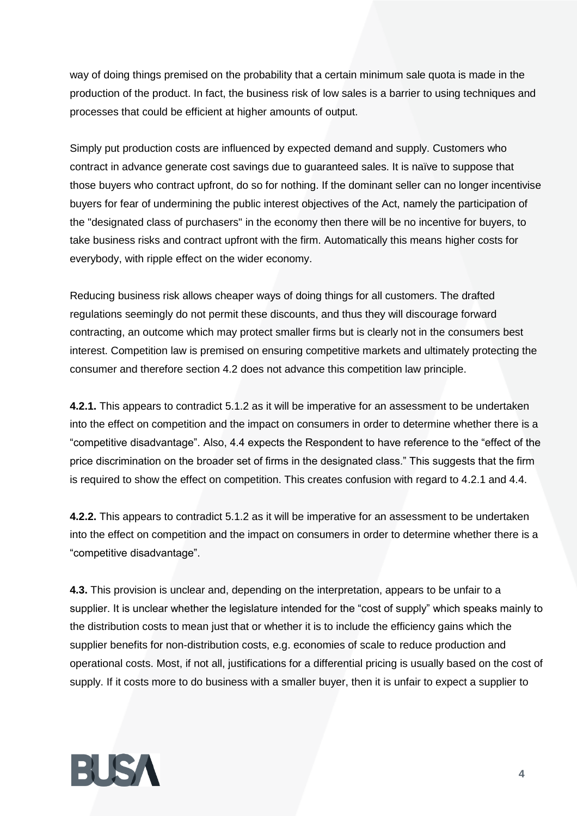way of doing things premised on the probability that a certain minimum sale quota is made in the production of the product. In fact, the business risk of low sales is a barrier to using techniques and processes that could be efficient at higher amounts of output.

Simply put production costs are influenced by expected demand and supply. Customers who contract in advance generate cost savings due to guaranteed sales. It is naïve to suppose that those buyers who contract upfront, do so for nothing. If the dominant seller can no longer incentivise buyers for fear of undermining the public interest objectives of the Act, namely the participation of the "designated class of purchasers" in the economy then there will be no incentive for buyers, to take business risks and contract upfront with the firm. Automatically this means higher costs for everybody, with ripple effect on the wider economy.

Reducing business risk allows cheaper ways of doing things for all customers. The drafted regulations seemingly do not permit these discounts, and thus they will discourage forward contracting, an outcome which may protect smaller firms but is clearly not in the consumers best interest. Competition law is premised on ensuring competitive markets and ultimately protecting the consumer and therefore section 4.2 does not advance this competition law principle.

**4.2.1.** This appears to contradict 5.1.2 as it will be imperative for an assessment to be undertaken into the effect on competition and the impact on consumers in order to determine whether there is a "competitive disadvantage". Also, 4.4 expects the Respondent to have reference to the "effect of the price discrimination on the broader set of firms in the designated class." This suggests that the firm is required to show the effect on competition. This creates confusion with regard to 4.2.1 and 4.4.

**4.2.2.** This appears to contradict 5.1.2 as it will be imperative for an assessment to be undertaken into the effect on competition and the impact on consumers in order to determine whether there is a "competitive disadvantage".

**4.3.** This provision is unclear and, depending on the interpretation, appears to be unfair to a supplier. It is unclear whether the legislature intended for the "cost of supply" which speaks mainly to the distribution costs to mean just that or whether it is to include the efficiency gains which the supplier benefits for non-distribution costs, e.g. economies of scale to reduce production and operational costs. Most, if not all, justifications for a differential pricing is usually based on the cost of supply. If it costs more to do business with a smaller buyer, then it is unfair to expect a supplier to

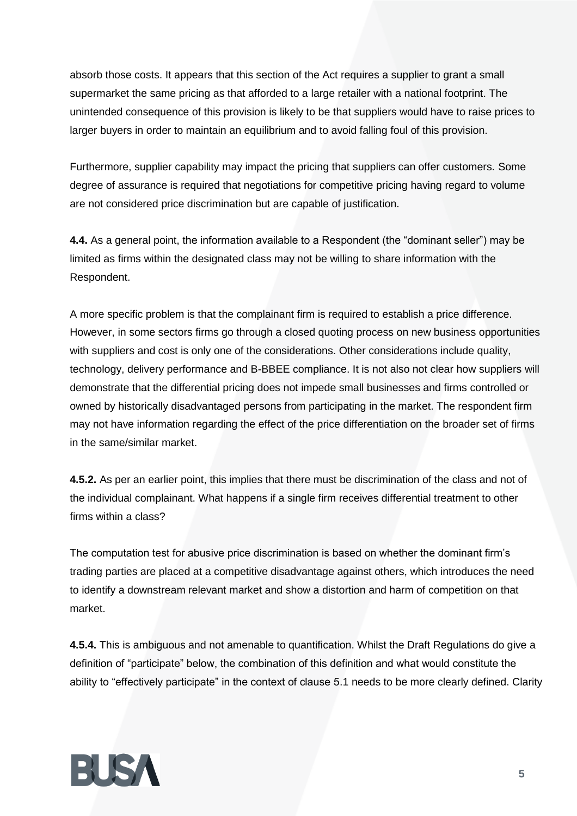absorb those costs. It appears that this section of the Act requires a supplier to grant a small supermarket the same pricing as that afforded to a large retailer with a national footprint. The unintended consequence of this provision is likely to be that suppliers would have to raise prices to larger buyers in order to maintain an equilibrium and to avoid falling foul of this provision.

Furthermore, supplier capability may impact the pricing that suppliers can offer customers. Some degree of assurance is required that negotiations for competitive pricing having regard to volume are not considered price discrimination but are capable of justification.

**4.4.** As a general point, the information available to a Respondent (the "dominant seller") may be limited as firms within the designated class may not be willing to share information with the Respondent.

A more specific problem is that the complainant firm is required to establish a price difference. However, in some sectors firms go through a closed quoting process on new business opportunities with suppliers and cost is only one of the considerations. Other considerations include quality, technology, delivery performance and B-BBEE compliance. It is not also not clear how suppliers will demonstrate that the differential pricing does not impede small businesses and firms controlled or owned by historically disadvantaged persons from participating in the market. The respondent firm may not have information regarding the effect of the price differentiation on the broader set of firms in the same/similar market.

**4.5.2.** As per an earlier point, this implies that there must be discrimination of the class and not of the individual complainant. What happens if a single firm receives differential treatment to other firms within a class?

The computation test for abusive price discrimination is based on whether the dominant firm's trading parties are placed at a competitive disadvantage against others, which introduces the need to identify a downstream relevant market and show a distortion and harm of competition on that market.

**4.5.4.** This is ambiguous and not amenable to quantification. Whilst the Draft Regulations do give a definition of "participate" below, the combination of this definition and what would constitute the ability to "effectively participate" in the context of clause 5.1 needs to be more clearly defined. Clarity

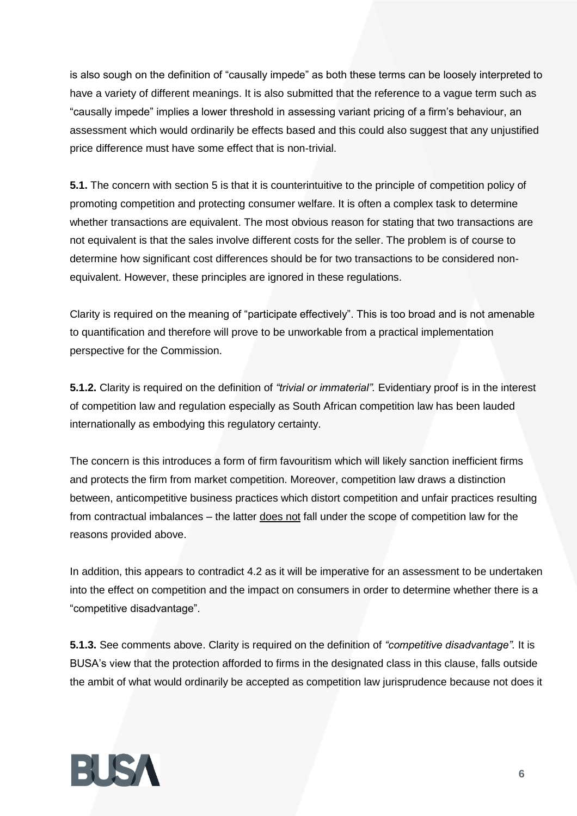is also sough on the definition of "causally impede" as both these terms can be loosely interpreted to have a variety of different meanings. It is also submitted that the reference to a vague term such as "causally impede" implies a lower threshold in assessing variant pricing of a firm's behaviour, an assessment which would ordinarily be effects based and this could also suggest that any unjustified price difference must have some effect that is non-trivial.

**5.1.** The concern with section 5 is that it is counterintuitive to the principle of competition policy of promoting competition and protecting consumer welfare. It is often a complex task to determine whether transactions are equivalent. The most obvious reason for stating that two transactions are not equivalent is that the sales involve different costs for the seller. The problem is of course to determine how significant cost differences should be for two transactions to be considered nonequivalent. However, these principles are ignored in these regulations.

Clarity is required on the meaning of "participate effectively". This is too broad and is not amenable to quantification and therefore will prove to be unworkable from a practical implementation perspective for the Commission.

**5.1.2.** Clarity is required on the definition of *"trivial or immaterial".* Evidentiary proof is in the interest of competition law and regulation especially as South African competition law has been lauded internationally as embodying this regulatory certainty.

The concern is this introduces a form of firm favouritism which will likely sanction inefficient firms and protects the firm from market competition. Moreover, competition law draws a distinction between, anticompetitive business practices which distort competition and unfair practices resulting from contractual imbalances – the latter does not fall under the scope of competition law for the reasons provided above.

In addition, this appears to contradict 4.2 as it will be imperative for an assessment to be undertaken into the effect on competition and the impact on consumers in order to determine whether there is a "competitive disadvantage".

**5.1.3.** See comments above. Clarity is required on the definition of *"competitive disadvantage".* It is BUSA's view that the protection afforded to firms in the designated class in this clause, falls outside the ambit of what would ordinarily be accepted as competition law jurisprudence because not does it

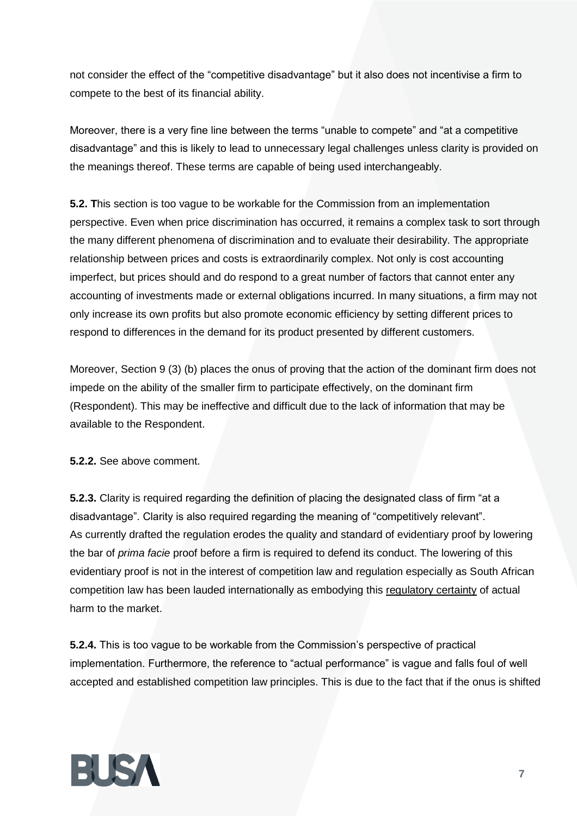not consider the effect of the "competitive disadvantage" but it also does not incentivise a firm to compete to the best of its financial ability.

Moreover, there is a very fine line between the terms "unable to compete" and "at a competitive disadvantage" and this is likely to lead to unnecessary legal challenges unless clarity is provided on the meanings thereof. These terms are capable of being used interchangeably.

**5.2. T**his section is too vague to be workable for the Commission from an implementation perspective. Even when price discrimination has occurred, it remains a complex task to sort through the many different phenomena of discrimination and to evaluate their desirability. The appropriate relationship between prices and costs is extraordinarily complex. Not only is cost accounting imperfect, but prices should and do respond to a great number of factors that cannot enter any accounting of investments made or external obligations incurred. In many situations, a firm may not only increase its own profits but also promote economic efficiency by setting different prices to respond to differences in the demand for its product presented by different customers.

Moreover, Section 9 (3) (b) places the onus of proving that the action of the dominant firm does not impede on the ability of the smaller firm to participate effectively, on the dominant firm (Respondent). This may be ineffective and difficult due to the lack of information that may be available to the Respondent.

**5.2.2.** See above comment.

**5.2.3.** Clarity is required regarding the definition of placing the designated class of firm "at a disadvantage". Clarity is also required regarding the meaning of "competitively relevant". As currently drafted the regulation erodes the quality and standard of evidentiary proof by lowering the bar of *prima facie* proof before a firm is required to defend its conduct. The lowering of this evidentiary proof is not in the interest of competition law and regulation especially as South African competition law has been lauded internationally as embodying this regulatory certainty of actual harm to the market.

**5.2.4.** This is too vague to be workable from the Commission's perspective of practical implementation. Furthermore, the reference to "actual performance" is vague and falls foul of well accepted and established competition law principles. This is due to the fact that if the onus is shifted

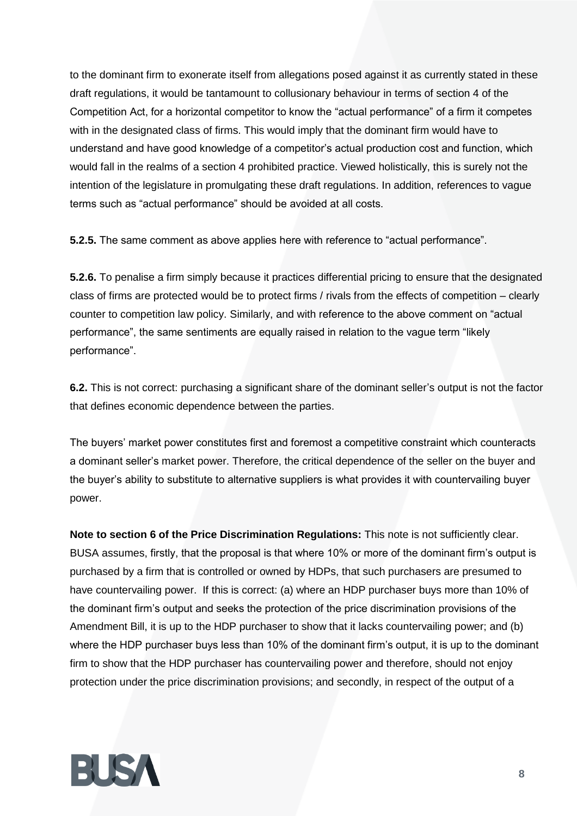to the dominant firm to exonerate itself from allegations posed against it as currently stated in these draft regulations, it would be tantamount to collusionary behaviour in terms of section 4 of the Competition Act, for a horizontal competitor to know the "actual performance" of a firm it competes with in the designated class of firms. This would imply that the dominant firm would have to understand and have good knowledge of a competitor's actual production cost and function, which would fall in the realms of a section 4 prohibited practice. Viewed holistically, this is surely not the intention of the legislature in promulgating these draft regulations. In addition, references to vague terms such as "actual performance" should be avoided at all costs.

**5.2.5.** The same comment as above applies here with reference to "actual performance".

**5.2.6.** To penalise a firm simply because it practices differential pricing to ensure that the designated class of firms are protected would be to protect firms / rivals from the effects of competition – clearly counter to competition law policy. Similarly, and with reference to the above comment on "actual performance", the same sentiments are equally raised in relation to the vague term "likely performance".

**6.2.** This is not correct: purchasing a significant share of the dominant seller's output is not the factor that defines economic dependence between the parties.

The buyers' market power constitutes first and foremost a competitive constraint which counteracts a dominant seller's market power. Therefore, the critical dependence of the seller on the buyer and the buyer's ability to substitute to alternative suppliers is what provides it with countervailing buyer power.

**Note to section 6 of the Price Discrimination Regulations:** This note is not sufficiently clear. BUSA assumes, firstly, that the proposal is that where 10% or more of the dominant firm's output is purchased by a firm that is controlled or owned by HDPs, that such purchasers are presumed to have countervailing power. If this is correct: (a) where an HDP purchaser buys more than 10% of the dominant firm's output and seeks the protection of the price discrimination provisions of the Amendment Bill, it is up to the HDP purchaser to show that it lacks countervailing power; and (b) where the HDP purchaser buys less than 10% of the dominant firm's output, it is up to the dominant firm to show that the HDP purchaser has countervailing power and therefore, should not enjoy protection under the price discrimination provisions; and secondly, in respect of the output of a

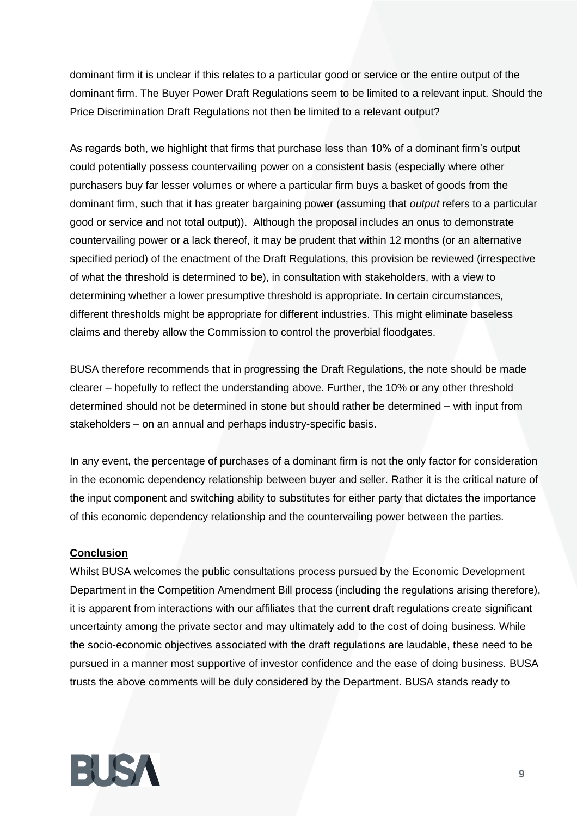dominant firm it is unclear if this relates to a particular good or service or the entire output of the dominant firm. The Buyer Power Draft Regulations seem to be limited to a relevant input. Should the Price Discrimination Draft Regulations not then be limited to a relevant output?

As regards both, we highlight that firms that purchase less than 10% of a dominant firm's output could potentially possess countervailing power on a consistent basis (especially where other purchasers buy far lesser volumes or where a particular firm buys a basket of goods from the dominant firm, such that it has greater bargaining power (assuming that *output* refers to a particular good or service and not total output)). Although the proposal includes an onus to demonstrate countervailing power or a lack thereof, it may be prudent that within 12 months (or an alternative specified period) of the enactment of the Draft Regulations, this provision be reviewed (irrespective of what the threshold is determined to be), in consultation with stakeholders, with a view to determining whether a lower presumptive threshold is appropriate. In certain circumstances, different thresholds might be appropriate for different industries. This might eliminate baseless claims and thereby allow the Commission to control the proverbial floodgates.

BUSA therefore recommends that in progressing the Draft Regulations, the note should be made clearer – hopefully to reflect the understanding above. Further, the 10% or any other threshold determined should not be determined in stone but should rather be determined – with input from stakeholders – on an annual and perhaps industry-specific basis.

In any event, the percentage of purchases of a dominant firm is not the only factor for consideration in the economic dependency relationship between buyer and seller. Rather it is the critical nature of the input component and switching ability to substitutes for either party that dictates the importance of this economic dependency relationship and the countervailing power between the parties.

## **Conclusion**

Whilst BUSA welcomes the public consultations process pursued by the Economic Development Department in the Competition Amendment Bill process (including the regulations arising therefore), it is apparent from interactions with our affiliates that the current draft regulations create significant uncertainty among the private sector and may ultimately add to the cost of doing business. While the socio-economic objectives associated with the draft regulations are laudable, these need to be pursued in a manner most supportive of investor confidence and the ease of doing business. BUSA trusts the above comments will be duly considered by the Department. BUSA stands ready to